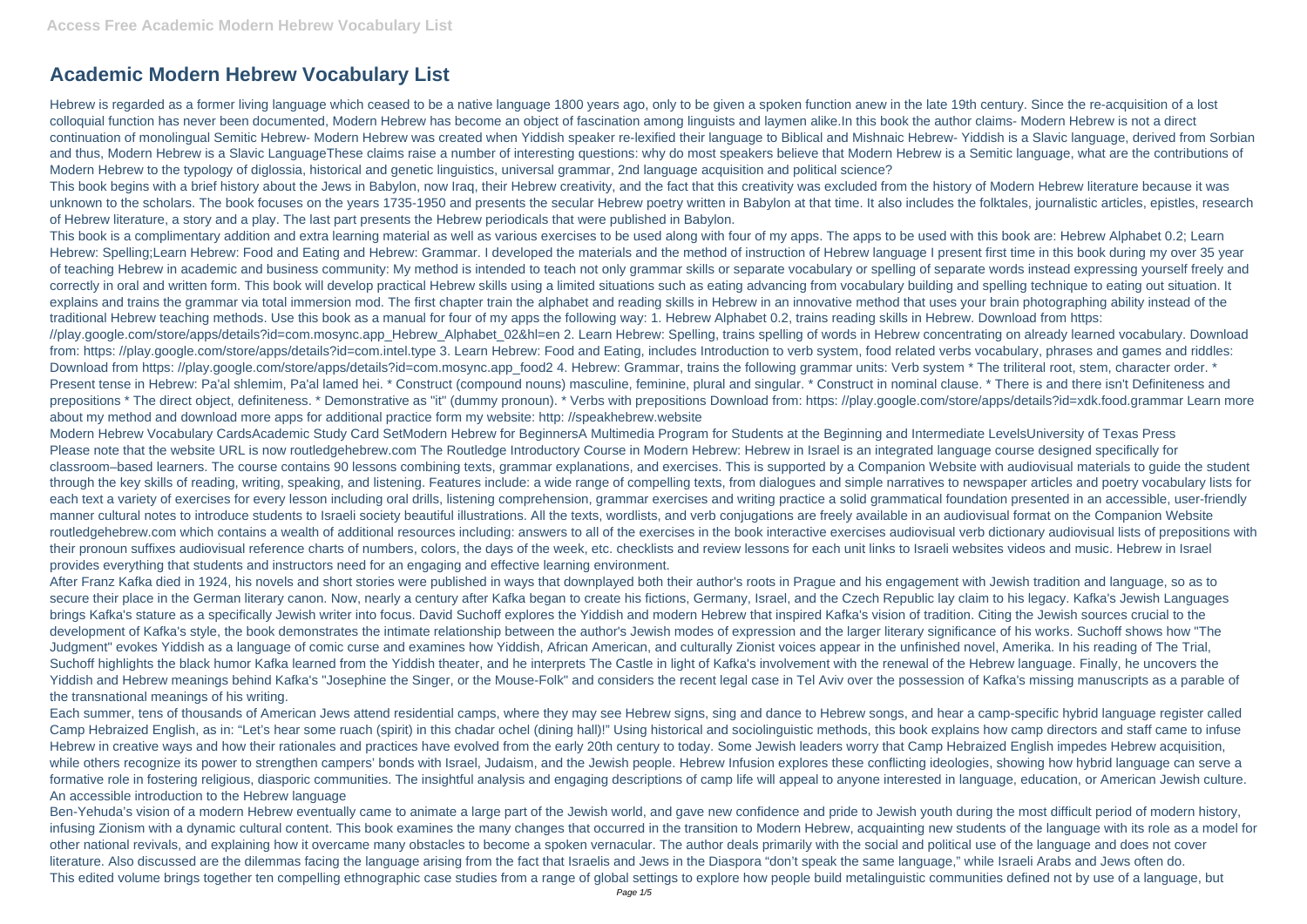## **Academic Modern Hebrew Vocabulary List**

Hebrew is regarded as a former living language which ceased to be a native language 1800 years ago, only to be given a spoken function anew in the late 19th century. Since the re-acquisition of a lost colloquial function has never been documented, Modern Hebrew has become an object of fascination among linguists and laymen alike.In this book the author claims- Modern Hebrew is not a direct continuation of monolingual Semitic Hebrew- Modern Hebrew was created when Yiddish speaker re-lexified their language to Biblical and Mishnaic Hebrew- Yiddish is a Slavic language, derived from Sorbian and thus, Modern Hebrew is a Slavic LanguageThese claims raise a number of interesting questions: why do most speakers believe that Modern Hebrew is a Semitic language, what are the contributions of Modern Hebrew to the typology of diglossia, historical and genetic linguistics, universal grammar, 2nd language acquisition and political science?

This book begins with a brief history about the Jews in Babylon, now Iraq, their Hebrew creativity, and the fact that this creativity was excluded from the history of Modern Hebrew literature because it was unknown to the scholars. The book focuses on the years 1735-1950 and presents the secular Hebrew poetry written in Babylon at that time. It also includes the folktales, journalistic articles, epistles, research of Hebrew literature, a story and a play. The last part presents the Hebrew periodicals that were published in Babylon.

This book is a complimentary addition and extra learning material as well as various exercises to be used along with four of my apps. The apps to be used with this book are: Hebrew Alphabet 0.2; Learn Hebrew: Spelling;Learn Hebrew: Food and Eating and Hebrew: Grammar. I developed the materials and the method of instruction of Hebrew language I present first time in this book during my over 35 year of teaching Hebrew in academic and business community: My method is intended to teach not only grammar skills or separate vocabulary or spelling of separate words instead expressing yourself freely and correctly in oral and written form. This book will develop practical Hebrew skills using a limited situations such as eating advancing from vocabulary building and spelling technique to eating out situation. It explains and trains the grammar via total immersion mod. The first chapter train the alphabet and reading skills in Hebrew in an innovative method that uses your brain photographing ability instead of the traditional Hebrew teaching methods. Use this book as a manual for four of my apps the following way: 1. Hebrew Alphabet 0.2, trains reading skills in Hebrew. Download from https: //play.google.com/store/apps/details?id=com.mosync.app\_Hebrew\_Alphabet\_02&hl=en 2. Learn Hebrew: Spelling, trains spelling of words in Hebrew concentrating on already learned vocabulary. Download from: https: //play.google.com/store/apps/details?id=com.intel.type 3. Learn Hebrew: Food and Eating, includes Introduction to verb system, food related verbs vocabulary, phrases and games and riddles: Download from https: //play.google.com/store/apps/details?id=com.mosync.app\_food2 4. Hebrew: Grammar, trains the following grammar units: Verb system \* The triliteral root, stem, character order. \* Present tense in Hebrew: Pa'al shlemim, Pa'al lamed hei. \* Construct (compound nouns) masculine, feminine, plural and singular. \* Construct in nominal clause. \* There is and there isn't Definiteness and prepositions \* The direct object, definiteness. \* Demonstrative as "it" (dummy pronoun). \* Verbs with prepositions Download from: https: //play.google.com/store/apps/details?id=xdk.food.grammar Learn more about my method and download more apps for additional practice form my website: http: //speakhebrew.website

Modern Hebrew Vocabulary CardsAcademic Study Card SetModern Hebrew for BeginnersA Multimedia Program for Students at the Beginning and Intermediate LevelsUniversity of Texas Press Please note that the website URL is now routledgehebrew.com The Routledge Introductory Course in Modern Hebrew: Hebrew in Israel is an integrated language course designed specifically for classroom–based learners. The course contains 90 lessons combining texts, grammar explanations, and exercises. This is supported by a Companion Website with audiovisual materials to guide the student through the key skills of reading, writing, speaking, and listening. Features include: a wide range of compelling texts, from dialogues and simple narratives to newspaper articles and poetry vocabulary lists for each text a variety of exercises for every lesson including oral drills, listening comprehension, grammar exercises and writing practice a solid grammatical foundation presented in an accessible, user-friendly manner cultural notes to introduce students to Israeli society beautiful illustrations. All the texts, wordlists, and verb conjugations are freely available in an audiovisual format on the Companion Website routledgehebrew.com which contains a wealth of additional resources including: answers to all of the exercises in the book interactive exercises audiovisual verb dictionary audiovisual lists of prepositions with their pronoun suffixes audiovisual reference charts of numbers, colors, the days of the week, etc. checklists and review lessons for each unit links to Israeli websites videos and music. Hebrew in Israel provides everything that students and instructors need for an engaging and effective learning environment.

After Franz Kafka died in 1924, his novels and short stories were published in ways that downplayed both their author's roots in Prague and his engagement with Jewish tradition and language, so as to secure their place in the German literary canon. Now, nearly a century after Kafka began to create his fictions, Germany, Israel, and the Czech Republic lay claim to his legacy. Kafka's Jewish Languages brings Kafka's stature as a specifically Jewish writer into focus. David Suchoff explores the Yiddish and modern Hebrew that inspired Kafka's vision of tradition. Citing the Jewish sources crucial to the development of Kafka's style, the book demonstrates the intimate relationship between the author's Jewish modes of expression and the larger literary significance of his works. Suchoff shows how "The Judgment" evokes Yiddish as a language of comic curse and examines how Yiddish, African American, and culturally Zionist voices appear in the unfinished novel, Amerika. In his reading of The Trial, Suchoff highlights the black humor Kafka learned from the Yiddish theater, and he interprets The Castle in light of Kafka's involvement with the renewal of the Hebrew language. Finally, he uncovers the Yiddish and Hebrew meanings behind Kafka's "Josephine the Singer, or the Mouse-Folk" and considers the recent legal case in Tel Aviv over the possession of Kafka's missing manuscripts as a parable of the transnational meanings of his writing.

Each summer, tens of thousands of American Jews attend residential camps, where they may see Hebrew signs, sing and dance to Hebrew songs, and hear a camp-specific hybrid language register called Camp Hebraized English, as in: "Let's hear some ruach (spirit) in this chadar ochel (dining hall)!" Using historical and sociolinguistic methods, this book explains how camp directors and staff came to infuse Hebrew in creative ways and how their rationales and practices have evolved from the early 20th century to today. Some Jewish leaders worry that Camp Hebraized English impedes Hebrew acquisition, while others recognize its power to strengthen campers' bonds with Israel, Judaism, and the Jewish people. Hebrew Infusion explores these conflicting ideologies, showing how hybrid language can serve a formative role in fostering religious, diasporic communities. The insightful analysis and engaging descriptions of camp life will appeal to anyone interested in language, education, or American Jewish culture. An accessible introduction to the Hebrew language

Ben-Yehuda's vision of a modern Hebrew eventually came to animate a large part of the Jewish world, and gave new confidence and pride to Jewish youth during the most difficult period of modern history, infusing Zionism with a dynamic cultural content. This book examines the many changes that occurred in the transition to Modern Hebrew, acquainting new students of the language with its role as a model for other national revivals, and explaining how it overcame many obstacles to become a spoken vernacular. The author deals primarily with the social and political use of the language and does not cover literature. Also discussed are the dilemmas facing the language arising from the fact that Israelis and Jews in the Diaspora "don't speak the same language," while Israeli Arabs and Jews often do. This edited volume brings together ten compelling ethnographic case studies from a range of global settings to explore how people build metalinguistic communities defined not by use of a language, but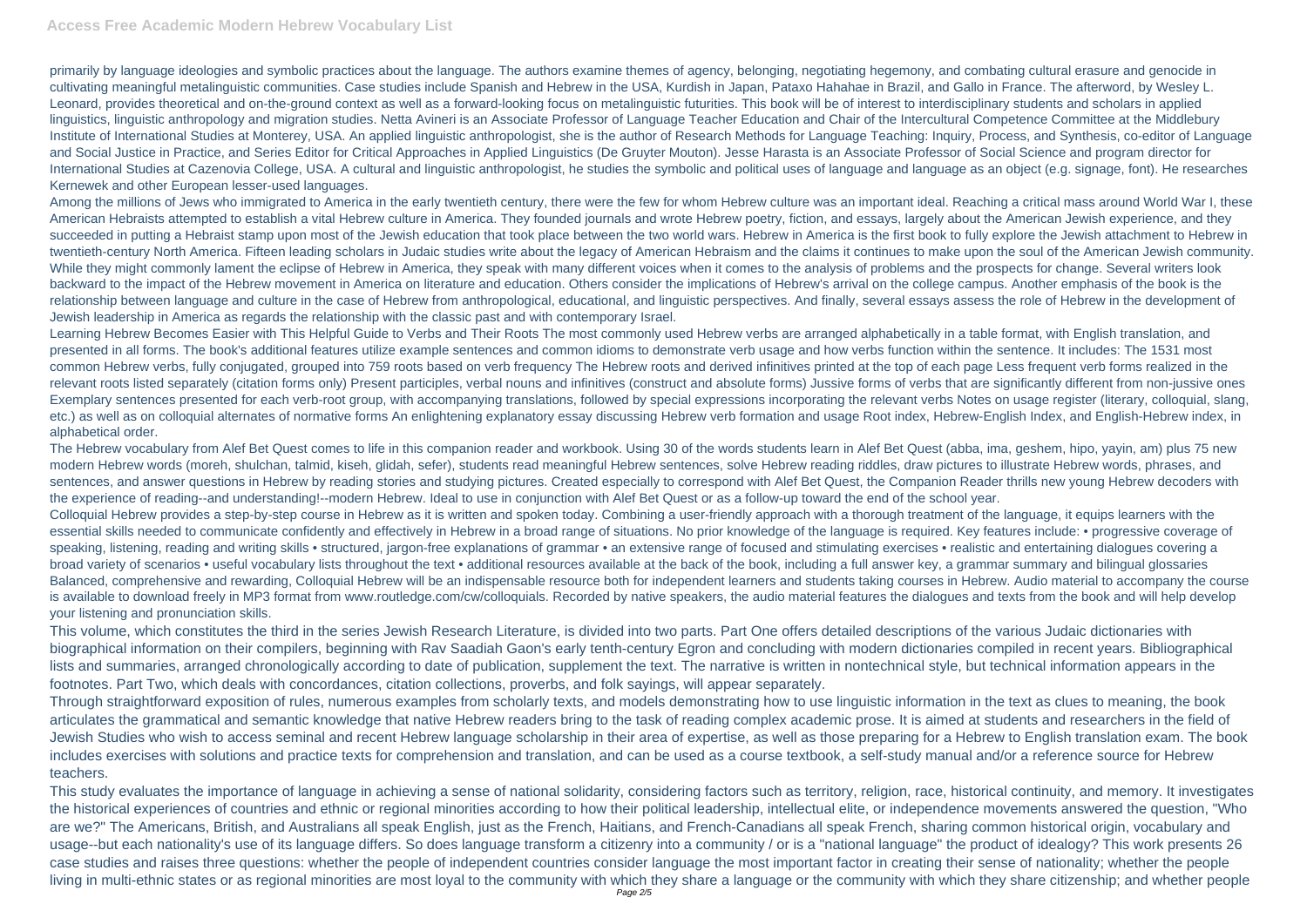primarily by language ideologies and symbolic practices about the language. The authors examine themes of agency, belonging, negotiating hegemony, and combating cultural erasure and genocide in cultivating meaningful metalinguistic communities. Case studies include Spanish and Hebrew in the USA, Kurdish in Japan, Pataxo Hahahae in Brazil, and Gallo in France. The afterword, by Wesley L. Leonard, provides theoretical and on-the-ground context as well as a forward-looking focus on metalinguistic futurities. This book will be of interest to interdisciplinary students and scholars in applied linguistics, linguistic anthropology and migration studies. Netta Avineri is an Associate Professor of Language Teacher Education and Chair of the Intercultural Competence Committee at the Middlebury Institute of International Studies at Monterey, USA. An applied linguistic anthropologist, she is the author of Research Methods for Language Teaching: Inquiry, Process, and Synthesis, co-editor of Language and Social Justice in Practice, and Series Editor for Critical Approaches in Applied Linguistics (De Gruyter Mouton). Jesse Harasta is an Associate Professor of Social Science and program director for International Studies at Cazenovia College, USA. A cultural and linguistic anthropologist, he studies the symbolic and political uses of language and language as an object (e.g. signage, font). He researches Kernewek and other European lesser-used languages.

Among the millions of Jews who immigrated to America in the early twentieth century, there were the few for whom Hebrew culture was an important ideal. Reaching a critical mass around World War I, these American Hebraists attempted to establish a vital Hebrew culture in America. They founded journals and wrote Hebrew poetry, fiction, and essays, largely about the American Jewish experience, and they succeeded in putting a Hebraist stamp upon most of the Jewish education that took place between the two world wars. Hebrew in America is the first book to fully explore the Jewish attachment to Hebrew in twentieth-century North America. Fifteen leading scholars in Judaic studies write about the legacy of American Hebraism and the claims it continues to make upon the soul of the American Jewish community. While they might commonly lament the eclipse of Hebrew in America, they speak with many different voices when it comes to the analysis of problems and the prospects for change. Several writers look backward to the impact of the Hebrew movement in America on literature and education. Others consider the implications of Hebrew's arrival on the college campus. Another emphasis of the book is the relationship between language and culture in the case of Hebrew from anthropological, educational, and linguistic perspectives. And finally, several essays assess the role of Hebrew in the development of Jewish leadership in America as regards the relationship with the classic past and with contemporary Israel.

Learning Hebrew Becomes Easier with This Helpful Guide to Verbs and Their Roots The most commonly used Hebrew verbs are arranged alphabetically in a table format, with English translation, and presented in all forms. The book's additional features utilize example sentences and common idioms to demonstrate verb usage and how verbs function within the sentence. It includes: The 1531 most common Hebrew verbs, fully conjugated, grouped into 759 roots based on verb frequency The Hebrew roots and derived infinitives printed at the top of each page Less frequent verb forms realized in the relevant roots listed separately (citation forms only) Present participles, verbal nouns and infinitives (construct and absolute forms) Jussive forms of verbs that are significantly different from non-jussive ones Exemplary sentences presented for each verb-root group, with accompanying translations, followed by special expressions incorporating the relevant verbs Notes on usage register (literary, colloquial, slang, etc.) as well as on colloquial alternates of normative forms An enlightening explanatory essay discussing Hebrew verb formation and usage Root index. Hebrew-English Index, and English-Hebrew index, in alphabetical order.

The Hebrew vocabulary from Alef Bet Quest comes to life in this companion reader and workbook. Using 30 of the words students learn in Alef Bet Quest (abba, ima, geshem, hipo, yayin, am) plus 75 new modern Hebrew words (moreh, shulchan, talmid, kiseh, glidah, sefer), students read meaningful Hebrew sentences, solve Hebrew reading riddles, draw pictures to illustrate Hebrew words, phrases, and sentences, and answer questions in Hebrew by reading stories and studying pictures. Created especially to correspond with Alef Bet Quest, the Companion Reader thrills new young Hebrew decoders with the experience of reading--and understanding!--modern Hebrew. Ideal to use in conjunction with Alef Bet Quest or as a follow-up toward the end of the school year. Colloquial Hebrew provides a step-by-step course in Hebrew as it is written and spoken today. Combining a user-friendly approach with a thorough treatment of the language, it equips learners with the essential skills needed to communicate confidently and effectively in Hebrew in a broad range of situations. No prior knowledge of the language is required. Key features include: • progressive coverage of speaking, listening, reading and writing skills • structured, jargon-free explanations of grammar • an extensive range of focused and stimulating exercises • realistic and entertaining dialogues covering a broad variety of scenarios • useful vocabulary lists throughout the text • additional resources available at the back of the book, including a full answer key, a grammar summary and bilingual glossaries Balanced, comprehensive and rewarding, Colloquial Hebrew will be an indispensable resource both for independent learners and students taking courses in Hebrew. Audio material to accompany the course is available to download freely in MP3 format from www.routledge.com/cw/colloquials. Recorded by native speakers, the audio material features the dialogues and texts from the book and will help develop your listening and pronunciation skills.

This volume, which constitutes the third in the series Jewish Research Literature, is divided into two parts. Part One offers detailed descriptions of the various Judaic dictionaries with biographical information on their compilers, beginning with Rav Saadiah Gaon's early tenth-century Egron and concluding with modern dictionaries compiled in recent years. Bibliographical lists and summaries, arranged chronologically according to date of publication, supplement the text. The narrative is written in nontechnical style, but technical information appears in the footnotes. Part Two, which deals with concordances, citation collections, proverbs, and folk sayings, will appear separately.

Through straightforward exposition of rules, numerous examples from scholarly texts, and models demonstrating how to use linguistic information in the text as clues to meaning, the book articulates the grammatical and semantic knowledge that native Hebrew readers bring to the task of reading complex academic prose. It is aimed at students and researchers in the field of Jewish Studies who wish to access seminal and recent Hebrew language scholarship in their area of expertise, as well as those preparing for a Hebrew to English translation exam. The book includes exercises with solutions and practice texts for comprehension and translation, and can be used as a course textbook, a self-study manual and/or a reference source for Hebrew teachers.

This study evaluates the importance of language in achieving a sense of national solidarity, considering factors such as territory, religion, race, historical continuity, and memory. It investigates the historical experiences of countries and ethnic or regional minorities according to how their political leadership, intellectual elite, or independence movements answered the question, "Who are we?" The Americans, British, and Australians all speak English, just as the French, Haitians, and French-Canadians all speak French, sharing common historical origin, vocabulary and usage--but each nationality's use of its language differs. So does language transform a citizenry into a community / or is a "national language" the product of idealogy? This work presents 26 case studies and raises three questions: whether the people of independent countries consider language the most important factor in creating their sense of nationality; whether the people living in multi-ethnic states or as regional minorities are most loyal to the community with which they share a language or the community with which they share citizenship; and whether people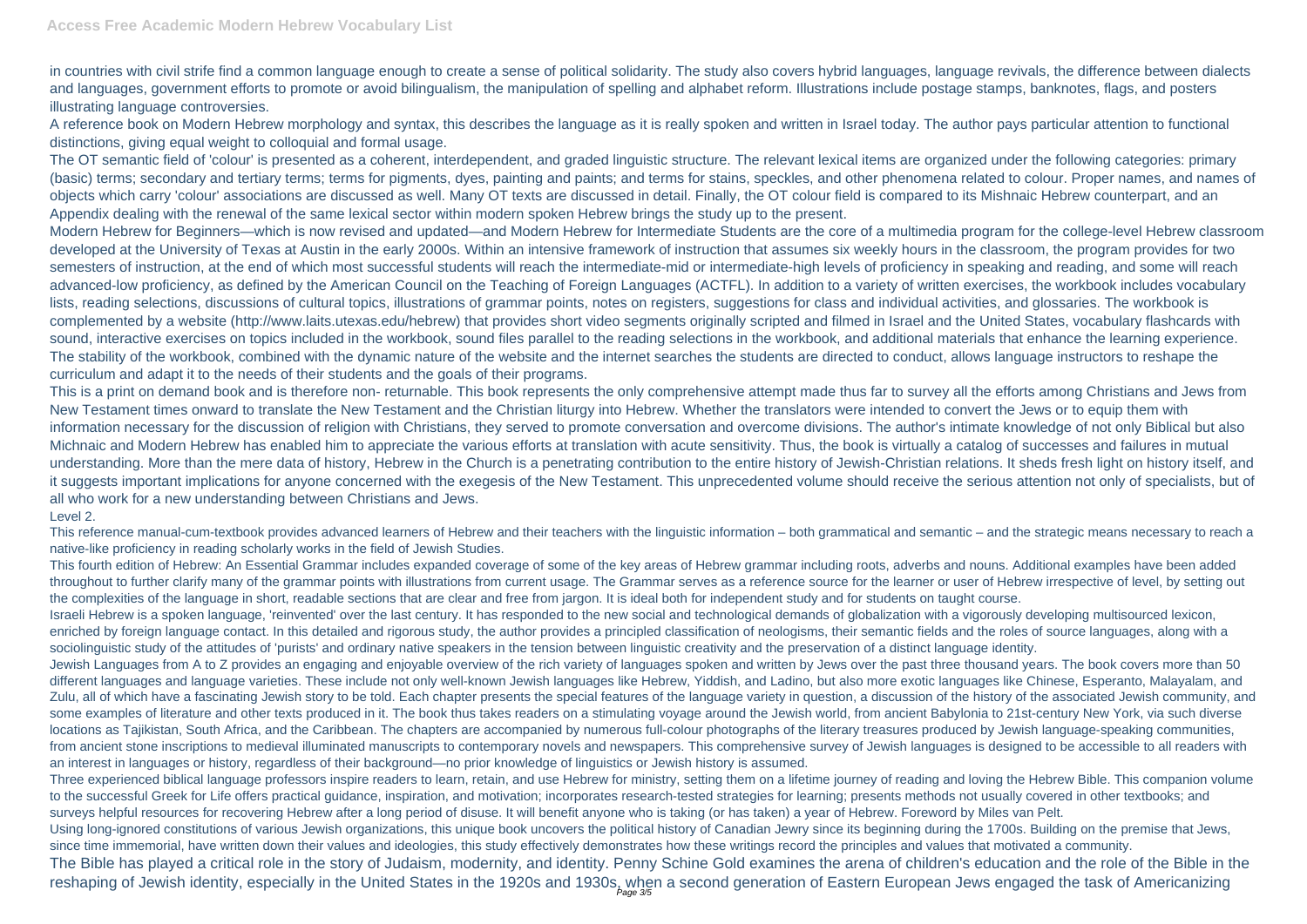in countries with civil strife find a common language enough to create a sense of political solidarity. The study also covers hybrid languages, language revivals, the difference between dialects and languages, government efforts to promote or avoid bilingualism, the manipulation of spelling and alphabet reform. Illustrations include postage stamps, banknotes, flags, and posters illustrating language controversies.

A reference book on Modern Hebrew morphology and syntax, this describes the language as it is really spoken and written in Israel today. The author pays particular attention to functional distinctions, giving equal weight to colloquial and formal usage.

The OT semantic field of 'colour' is presented as a coherent, interdependent, and graded linguistic structure. The relevant lexical items are organized under the following categories: primary (basic) terms; secondary and tertiary terms; terms for pigments, dyes, painting and paints; and terms for stains, speckles, and other phenomena related to colour. Proper names, and names of objects which carry 'colour' associations are discussed as well. Many OT texts are discussed in detail. Finally, the OT colour field is compared to its Mishnaic Hebrew counterpart, and an Appendix dealing with the renewal of the same lexical sector within modern spoken Hebrew brings the study up to the present.

Modern Hebrew for Beginners—which is now revised and updated—and Modern Hebrew for Intermediate Students are the core of a multimedia program for the college-level Hebrew classroom developed at the University of Texas at Austin in the early 2000s. Within an intensive framework of instruction that assumes six weekly hours in the classroom, the program provides for two semesters of instruction, at the end of which most successful students will reach the intermediate-mid or intermediate-high levels of proficiency in speaking and reading, and some will reach advanced-low proficiency, as defined by the American Council on the Teaching of Foreign Languages (ACTFL). In addition to a variety of written exercises, the workbook includes vocabulary lists, reading selections, discussions of cultural topics, illustrations of grammar points, notes on registers, suggestions for class and individual activities, and glossaries. The workbook is complemented by a website (http://www.laits.utexas.edu/hebrew) that provides short video segments originally scripted and filmed in Israel and the United States, vocabulary flashcards with sound, interactive exercises on topics included in the workbook, sound files parallel to the reading selections in the workbook, and additional materials that enhance the learning experience. The stability of the workbook, combined with the dynamic nature of the website and the internet searches the students are directed to conduct, allows language instructors to reshape the curriculum and adapt it to the needs of their students and the goals of their programs.

Three experienced biblical language professors inspire readers to learn, retain, and use Hebrew for ministry, setting them on a lifetime journey of reading and loving the Hebrew Bible. This companion volume to the successful Greek for Life offers practical guidance, inspiration, and motivation; incorporates research-tested strategies for learning; presents methods not usually covered in other textbooks; and surveys helpful resources for recovering Hebrew after a long period of disuse. It will benefit anyone who is taking (or has taken) a year of Hebrew. Foreword by Miles van Pelt. Using long-ignored constitutions of various Jewish organizations, this unique book uncovers the political history of Canadian Jewry since its beginning during the 1700s. Building on the premise that Jews, since time immemorial, have written down their values and ideologies, this study effectively demonstrates how these writings record the principles and values that motivated a community. The Bible has played a critical role in the story of Judaism, modernity, and identity. Penny Schine Gold examines the arena of children's education and the role of the Bible in the reshaping of Jewish identity, especially in the United States in the 1920s and 1930s, when a second generation of Eastern European Jews engaged the task of Americanizing

This is a print on demand book and is therefore non- returnable. This book represents the only comprehensive attempt made thus far to survey all the efforts among Christians and Jews from New Testament times onward to translate the New Testament and the Christian liturgy into Hebrew. Whether the translators were intended to convert the Jews or to equip them with information necessary for the discussion of religion with Christians, they served to promote conversation and overcome divisions. The author's intimate knowledge of not only Biblical but also Michnaic and Modern Hebrew has enabled him to appreciate the various efforts at translation with acute sensitivity. Thus, the book is virtually a catalog of successes and failures in mutual understanding. More than the mere data of history, Hebrew in the Church is a penetrating contribution to the entire history of Jewish-Christian relations. It sheds fresh light on history itself, and it suggests important implications for anyone concerned with the exegesis of the New Testament. This unprecedented volume should receive the serious attention not only of specialists, but of all who work for a new understanding between Christians and Jews. Level 2.

## This reference manual-cum-textbook provides advanced learners of Hebrew and their teachers with the linguistic information – both grammatical and semantic – and the strategic means necessary to reach a native-like proficiency in reading scholarly works in the field of Jewish Studies.

This fourth edition of Hebrew: An Essential Grammar includes expanded coverage of some of the key areas of Hebrew grammar including roots, adverbs and nouns. Additional examples have been added throughout to further clarify many of the grammar points with illustrations from current usage. The Grammar serves as a reference source for the learner or user of Hebrew irrespective of level, by setting out the complexities of the language in short, readable sections that are clear and free from jargon. It is ideal both for independent study and for students on taught course. Israeli Hebrew is a spoken language, 'reinvented' over the last century. It has responded to the new social and technological demands of globalization with a vigorously developing multisourced lexicon, enriched by foreign language contact. In this detailed and rigorous study, the author provides a principled classification of neologisms, their semantic fields and the roles of source languages, along with a sociolinguistic study of the attitudes of 'purists' and ordinary native speakers in the tension between linguistic creativity and the preservation of a distinct language identity. Jewish Languages from A to Z provides an engaging and enjoyable overview of the rich variety of languages spoken and written by Jews over the past three thousand years. The book covers more than 50 different languages and language varieties. These include not only well-known Jewish languages like Hebrew, Yiddish, and Ladino, but also more exotic languages like Chinese, Esperanto, Malayalam, and Zulu, all of which have a fascinating Jewish story to be told. Each chapter presents the special features of the language variety in question, a discussion of the history of the associated Jewish community, and some examples of literature and other texts produced in it. The book thus takes readers on a stimulating voyage around the Jewish world, from ancient Babylonia to 21st-century New York, via such diverse locations as Tajikistan, South Africa, and the Caribbean. The chapters are accompanied by numerous full-colour photographs of the literary treasures produced by Jewish language-speaking communities, from ancient stone inscriptions to medieval illuminated manuscripts to contemporary novels and newspapers. This comprehensive survey of Jewish languages is designed to be accessible to all readers with an interest in languages or history, regardless of their background—no prior knowledge of linguistics or Jewish history is assumed.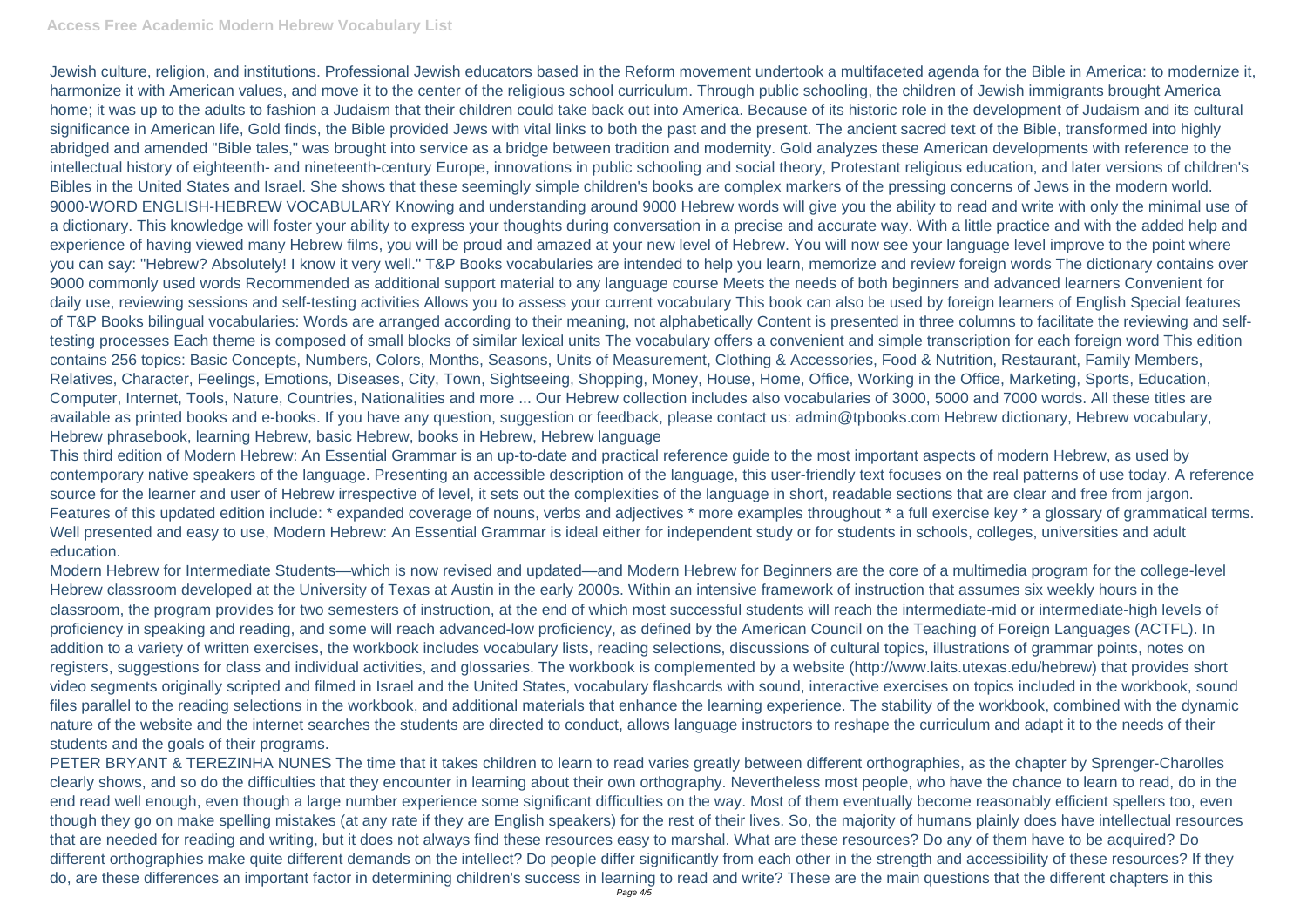Jewish culture, religion, and institutions. Professional Jewish educators based in the Reform movement undertook a multifaceted agenda for the Bible in America: to modernize it, harmonize it with American values, and move it to the center of the religious school curriculum. Through public schooling, the children of Jewish immigrants brought America home; it was up to the adults to fashion a Judaism that their children could take back out into America. Because of its historic role in the development of Judaism and its cultural significance in American life, Gold finds, the Bible provided Jews with vital links to both the past and the present. The ancient sacred text of the Bible, transformed into highly abridged and amended "Bible tales," was brought into service as a bridge between tradition and modernity. Gold analyzes these American developments with reference to the intellectual history of eighteenth- and nineteenth-century Europe, innovations in public schooling and social theory, Protestant religious education, and later versions of children's Bibles in the United States and Israel. She shows that these seemingly simple children's books are complex markers of the pressing concerns of Jews in the modern world. 9000-WORD ENGLISH-HEBREW VOCABULARY Knowing and understanding around 9000 Hebrew words will give you the ability to read and write with only the minimal use of a dictionary. This knowledge will foster your ability to express your thoughts during conversation in a precise and accurate way. With a little practice and with the added help and experience of having viewed many Hebrew films, you will be proud and amazed at your new level of Hebrew. You will now see your language level improve to the point where you can say: "Hebrew? Absolutely! I know it very well." T&P Books vocabularies are intended to help you learn, memorize and review foreign words The dictionary contains over 9000 commonly used words Recommended as additional support material to any language course Meets the needs of both beginners and advanced learners Convenient for daily use, reviewing sessions and self-testing activities Allows you to assess your current vocabulary This book can also be used by foreign learners of English Special features of T&P Books bilingual vocabularies: Words are arranged according to their meaning, not alphabetically Content is presented in three columns to facilitate the reviewing and selftesting processes Each theme is composed of small blocks of similar lexical units The vocabulary offers a convenient and simple transcription for each foreign word This edition contains 256 topics: Basic Concepts, Numbers, Colors, Months, Seasons, Units of Measurement, Clothing & Accessories, Food & Nutrition, Restaurant, Family Members, Relatives, Character, Feelings, Emotions, Diseases, City, Town, Sightseeing, Shopping, Money, House, Home, Office, Working in the Office, Marketing, Sports, Education, Computer, Internet, Tools, Nature, Countries, Nationalities and more ... Our Hebrew collection includes also vocabularies of 3000, 5000 and 7000 words. All these titles are available as printed books and e-books. If you have any question, suggestion or feedback, please contact us: admin@tpbooks.com Hebrew dictionary, Hebrew vocabulary, Hebrew phrasebook, learning Hebrew, basic Hebrew, books in Hebrew, Hebrew language

This third edition of Modern Hebrew: An Essential Grammar is an up-to-date and practical reference guide to the most important aspects of modern Hebrew, as used by contemporary native speakers of the language. Presenting an accessible description of the language, this user-friendly text focuses on the real patterns of use today. A reference source for the learner and user of Hebrew irrespective of level, it sets out the complexities of the language in short, readable sections that are clear and free from jargon. Features of this updated edition include: \* expanded coverage of nouns, verbs and adjectives \* more examples throughout \* a full exercise key \* a glossary of grammatical terms. Well presented and easy to use, Modern Hebrew: An Essential Grammar is ideal either for independent study or for students in schools, colleges, universities and adult education.

Modern Hebrew for Intermediate Students—which is now revised and updated—and Modern Hebrew for Beginners are the core of a multimedia program for the college-level Hebrew classroom developed at the University of Texas at Austin in the early 2000s. Within an intensive framework of instruction that assumes six weekly hours in the classroom, the program provides for two semesters of instruction, at the end of which most successful students will reach the intermediate-mid or intermediate-high levels of proficiency in speaking and reading, and some will reach advanced-low proficiency, as defined by the American Council on the Teaching of Foreign Languages (ACTFL). In addition to a variety of written exercises, the workbook includes vocabulary lists, reading selections, discussions of cultural topics, illustrations of grammar points, notes on registers, suggestions for class and individual activities, and glossaries. The workbook is complemented by a website (http://www.laits.utexas.edu/hebrew) that provides short video segments originally scripted and filmed in Israel and the United States, vocabulary flashcards with sound, interactive exercises on topics included in the workbook, sound files parallel to the reading selections in the workbook, and additional materials that enhance the learning experience. The stability of the workbook, combined with the dynamic nature of the website and the internet searches the students are directed to conduct, allows language instructors to reshape the curriculum and adapt it to the needs of their students and the goals of their programs.

PETER BRYANT & TEREZINHA NUNES The time that it takes children to learn to read varies greatly between different orthographies, as the chapter by Sprenger-Charolles clearly shows, and so do the difficulties that they encounter in learning about their own orthography. Nevertheless most people, who have the chance to learn to read, do in the end read well enough, even though a large number experience some significant difficulties on the way. Most of them eventually become reasonably efficient spellers too, even though they go on make spelling mistakes (at any rate if they are English speakers) for the rest of their lives. So, the majority of humans plainly does have intellectual resources that are needed for reading and writing, but it does not always find these resources easy to marshal. What are these resources? Do any of them have to be acquired? Do different orthographies make quite different demands on the intellect? Do people differ significantly from each other in the strength and accessibility of these resources? If they do, are these differences an important factor in determining children's success in learning to read and write? These are the main questions that the different chapters in this